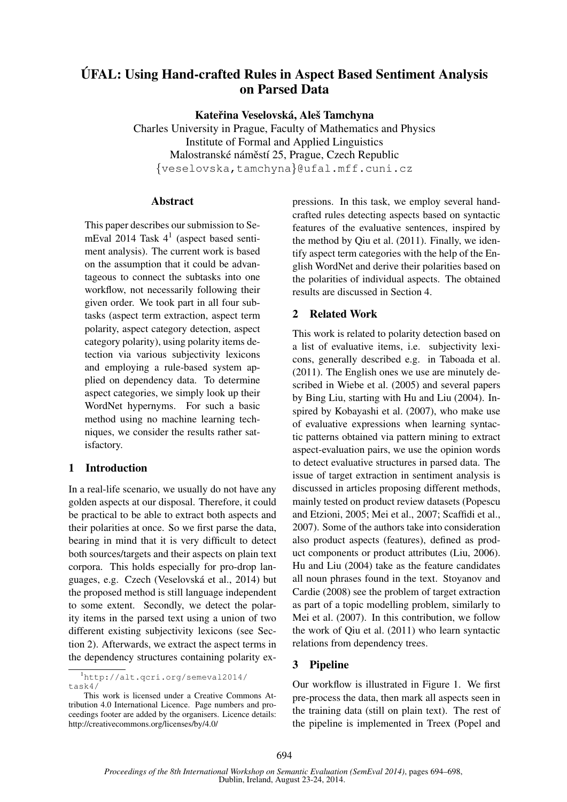# UFAL: Using Hand-crafted Rules in Aspect Based Sentiment Analysis ´ on Parsed Data

Kateřina Veselovská, Aleš Tamchyna

Charles University in Prague, Faculty of Mathematics and Physics Institute of Formal and Applied Linguistics Malostranské náměstí 25, Prague, Czech Republic {veselovska,tamchyna}@ufal.mff.cuni.cz

#### Abstract

This paper describes our submission to SemEval 2014 Task 4<sup>1</sup> (aspect based sentiment analysis). The current work is based on the assumption that it could be advantageous to connect the subtasks into one workflow, not necessarily following their given order. We took part in all four subtasks (aspect term extraction, aspect term polarity, aspect category detection, aspect category polarity), using polarity items detection via various subjectivity lexicons and employing a rule-based system applied on dependency data. To determine aspect categories, we simply look up their WordNet hypernyms. For such a basic method using no machine learning techniques, we consider the results rather satisfactory.

# 1 Introduction

In a real-life scenario, we usually do not have any golden aspects at our disposal. Therefore, it could be practical to be able to extract both aspects and their polarities at once. So we first parse the data, bearing in mind that it is very difficult to detect both sources/targets and their aspects on plain text corpora. This holds especially for pro-drop languages, e.g. Czech (Veselovska et al., 2014) but ´ the proposed method is still language independent to some extent. Secondly, we detect the polarity items in the parsed text using a union of two different existing subjectivity lexicons (see Section 2). Afterwards, we extract the aspect terms in the dependency structures containing polarity ex-

<sup>1</sup>http://alt.qcri.org/semeval2014/ task4/

pressions. In this task, we employ several handcrafted rules detecting aspects based on syntactic features of the evaluative sentences, inspired by the method by Qiu et al. (2011). Finally, we identify aspect term categories with the help of the English WordNet and derive their polarities based on the polarities of individual aspects. The obtained results are discussed in Section 4.

# 2 Related Work

This work is related to polarity detection based on a list of evaluative items, i.e. subjectivity lexicons, generally described e.g. in Taboada et al. (2011). The English ones we use are minutely described in Wiebe et al. (2005) and several papers by Bing Liu, starting with Hu and Liu (2004). Inspired by Kobayashi et al. (2007), who make use of evaluative expressions when learning syntactic patterns obtained via pattern mining to extract aspect-evaluation pairs, we use the opinion words to detect evaluative structures in parsed data. The issue of target extraction in sentiment analysis is discussed in articles proposing different methods, mainly tested on product review datasets (Popescu and Etzioni, 2005; Mei et al., 2007; Scaffidi et al., 2007). Some of the authors take into consideration also product aspects (features), defined as product components or product attributes (Liu, 2006). Hu and Liu (2004) take as the feature candidates all noun phrases found in the text. Stoyanov and Cardie (2008) see the problem of target extraction as part of a topic modelling problem, similarly to Mei et al. (2007). In this contribution, we follow the work of Qiu et al. (2011) who learn syntactic relations from dependency trees.

# 3 Pipeline

Our workflow is illustrated in Figure 1. We first pre-process the data, then mark all aspects seen in the training data (still on plain text). The rest of the pipeline is implemented in Treex (Popel and

This work is licensed under a Creative Commons Attribution 4.0 International Licence. Page numbers and proceedings footer are added by the organisers. Licence details: http://creativecommons.org/licenses/by/4.0/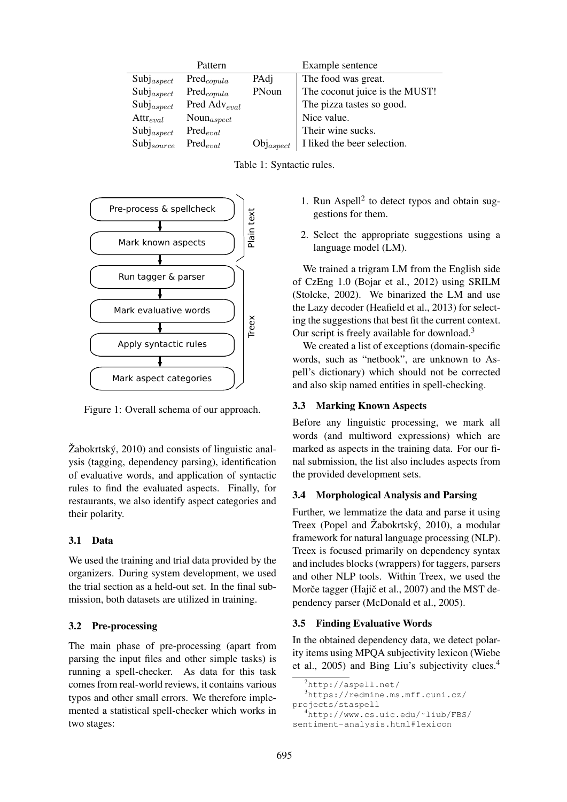|                 | Pattern                  |                       | Example sentence               |
|-----------------|--------------------------|-----------------------|--------------------------------|
| $Subj_{aspect}$ | $Pred_{copula}$          | PAdj                  | The food was great.            |
| $Subj_{aspect}$ | $Pred_{copula}$          | PNoun                 | The coconut juice is the MUST! |
| $Subj_{aspect}$ | Pred Adv <sub>eval</sub> |                       | The pizza tastes so good.      |
| $Attr_{eval}$   | $Noun_{aspect}$          |                       | Nice value.                    |
| $Subj_{aspect}$ | $Pred_{eval}$            |                       | Their wine sucks.              |
| $Subj_{source}$ | $Pred_{eval}$            | $\text{Obj}_{aspect}$ | I liked the beer selection.    |





Figure 1: Overall schema of our approach.

 $\check{Z}$ abokrtský, 2010) and consists of linguistic analysis (tagging, dependency parsing), identification of evaluative words, and application of syntactic rules to find the evaluated aspects. Finally, for restaurants, we also identify aspect categories and their polarity.

# 3.1 Data

We used the training and trial data provided by the organizers. During system development, we used the trial section as a held-out set. In the final submission, both datasets are utilized in training.

### 3.2 Pre-processing

The main phase of pre-processing (apart from parsing the input files and other simple tasks) is running a spell-checker. As data for this task comes from real-world reviews, it contains various typos and other small errors. We therefore implemented a statistical spell-checker which works in two stages:

- 1. Run Aspell<sup>2</sup> to detect typos and obtain suggestions for them.
- 2. Select the appropriate suggestions using a language model (LM).

We trained a trigram LM from the English side of CzEng 1.0 (Bojar et al., 2012) using SRILM (Stolcke, 2002). We binarized the LM and use the Lazy decoder (Heafield et al., 2013) for selecting the suggestions that best fit the current context. Our script is freely available for download.<sup>3</sup>

We created a list of exceptions (domain-specific words, such as "netbook", are unknown to Aspell's dictionary) which should not be corrected and also skip named entities in spell-checking.

# 3.3 Marking Known Aspects

Before any linguistic processing, we mark all words (and multiword expressions) which are marked as aspects in the training data. For our final submission, the list also includes aspects from the provided development sets.

### 3.4 Morphological Analysis and Parsing

Further, we lemmatize the data and parse it using Treex (Popel and Žabokrtský, 2010), a modular framework for natural language processing (NLP). Treex is focused primarily on dependency syntax and includes blocks (wrappers) for taggers, parsers and other NLP tools. Within Treex, we used the Morče tagger (Hajič et al., 2007) and the MST dependency parser (McDonald et al., 2005).

# 3.5 Finding Evaluative Words

In the obtained dependency data, we detect polarity items using MPQA subjectivity lexicon (Wiebe et al., 2005) and Bing Liu's subjectivity clues.<sup>4</sup>

```
2http://aspell.net/
  3https://redmine.ms.mff.cuni.cz/
projects/staspell
  4http://www.cs.uic.edu/˜liub/FBS/
```

```
sentiment-analysis.html#lexicon
```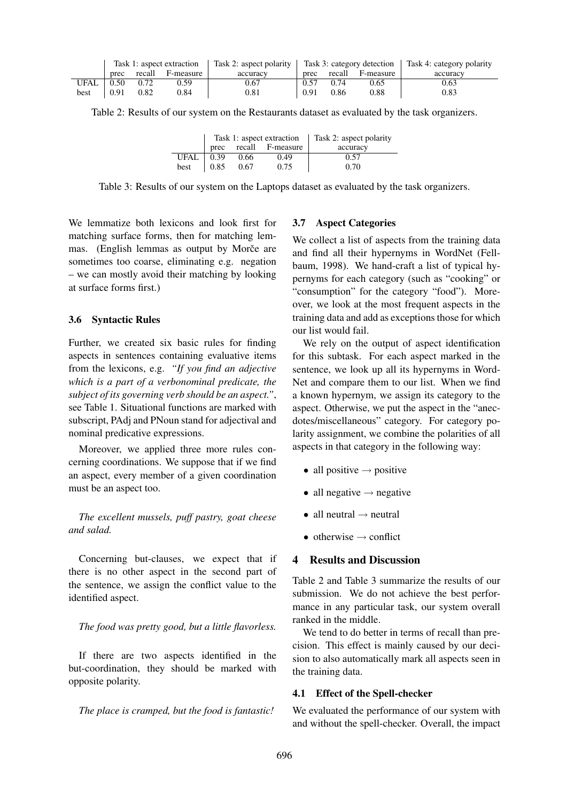|      | Task 1: aspect extraction |      |                       |          | Task 2: aspect polarity $\vert$ Task 3: category detection $\vert$ Task 4: category polarity |        |           |          |
|------|---------------------------|------|-----------------------|----------|----------------------------------------------------------------------------------------------|--------|-----------|----------|
|      |                           |      | prec recall F-measure | accuracy | prec                                                                                         | recall | F-measure | accuracy |
| UFAL | 0.50                      | 0.72 | 0.59                  | 0.67     | 0.57                                                                                         | 0.74   | 0.65      | 0.63     |
| best | 0.91                      | 0.82 | 0.84                  | 0.81     | 0.91                                                                                         | 0.86   | 0.88      | 0.83     |

Table 2: Results of our system on the Restaurants dataset as evaluated by the task organizers.

|             | Task 1: aspect extraction   Task 2: aspect polarity |      |                  |          |
|-------------|-----------------------------------------------------|------|------------------|----------|
|             | prec                                                |      | recall F-measure | accuracy |
| <b>UFAL</b> | 0.39                                                | 0.66 | 0.49             | 0.57     |
| best        | 0.85                                                | 0.67 | 0.75             | 0.70     |

Table 3: Results of our system on the Laptops dataset as evaluated by the task organizers.

We lemmatize both lexicons and look first for matching surface forms, then for matching lemmas. (English lemmas as output by Morce are sometimes too coarse, eliminating e.g. negation – we can mostly avoid their matching by looking at surface forms first.)

#### 3.6 Syntactic Rules

Further, we created six basic rules for finding aspects in sentences containing evaluative items from the lexicons, e.g. *"If you find an adjective which is a part of a verbonominal predicate, the subject of its governing verb should be an aspect."*, see Table 1. Situational functions are marked with subscript, PAdj and PNoun stand for adjectival and nominal predicative expressions.

Moreover, we applied three more rules concerning coordinations. We suppose that if we find an aspect, every member of a given coordination must be an aspect too.

*The excellent mussels, puff pastry, goat cheese and salad.*

Concerning but-clauses, we expect that if there is no other aspect in the second part of the sentence, we assign the conflict value to the identified aspect.

#### *The food was pretty good, but a little flavorless.*

If there are two aspects identified in the but-coordination, they should be marked with opposite polarity.

#### *The place is cramped, but the food is fantastic!*

#### 3.7 Aspect Categories

We collect a list of aspects from the training data and find all their hypernyms in WordNet (Fellbaum, 1998). We hand-craft a list of typical hypernyms for each category (such as "cooking" or "consumption" for the category "food"). Moreover, we look at the most frequent aspects in the training data and add as exceptions those for which our list would fail.

We rely on the output of aspect identification for this subtask. For each aspect marked in the sentence, we look up all its hypernyms in Word-Net and compare them to our list. When we find a known hypernym, we assign its category to the aspect. Otherwise, we put the aspect in the "anecdotes/miscellaneous" category. For category polarity assignment, we combine the polarities of all aspects in that category in the following way:

- all positive  $\rightarrow$  positive
- all negative  $\rightarrow$  negative
- all neutral  $\rightarrow$  neutral
- otherwise  $\rightarrow$  conflict

### 4 Results and Discussion

Table 2 and Table 3 summarize the results of our submission. We do not achieve the best performance in any particular task, our system overall ranked in the middle.

We tend to do better in terms of recall than precision. This effect is mainly caused by our decision to also automatically mark all aspects seen in the training data.

#### 4.1 Effect of the Spell-checker

We evaluated the performance of our system with and without the spell-checker. Overall, the impact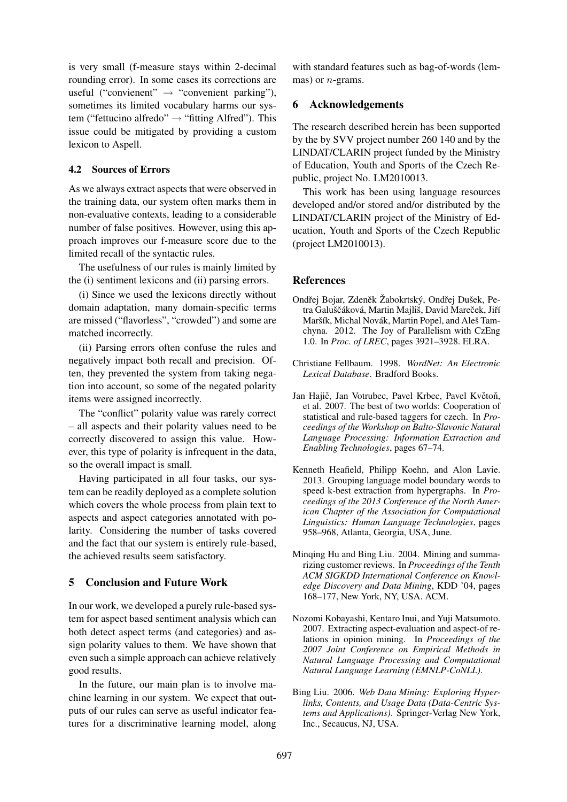is very small (f-measure stays within 2-decimal rounding error). In some cases its corrections are useful ("convienent"  $\rightarrow$  "convenient parking"), sometimes its limited vocabulary harms our system ("fettucino alfredo" → "fitting Alfred"). This issue could be mitigated by providing a custom lexicon to Aspell.

#### 4.2 Sources of Errors

As we always extract aspects that were observed in the training data, our system often marks them in non-evaluative contexts, leading to a considerable number of false positives. However, using this approach improves our f-measure score due to the limited recall of the syntactic rules.

The usefulness of our rules is mainly limited by the (i) sentiment lexicons and (ii) parsing errors.

(i) Since we used the lexicons directly without domain adaptation, many domain-specific terms are missed ("flavorless", "crowded") and some are matched incorrectly.

(ii) Parsing errors often confuse the rules and negatively impact both recall and precision. Often, they prevented the system from taking negation into account, so some of the negated polarity items were assigned incorrectly.

The "conflict" polarity value was rarely correct – all aspects and their polarity values need to be correctly discovered to assign this value. However, this type of polarity is infrequent in the data, so the overall impact is small.

Having participated in all four tasks, our system can be readily deployed as a complete solution which covers the whole process from plain text to aspects and aspect categories annotated with polarity. Considering the number of tasks covered and the fact that our system is entirely rule-based, the achieved results seem satisfactory.

### 5 Conclusion and Future Work

In our work, we developed a purely rule-based system for aspect based sentiment analysis which can both detect aspect terms (and categories) and assign polarity values to them. We have shown that even such a simple approach can achieve relatively good results.

In the future, our main plan is to involve machine learning in our system. We expect that outputs of our rules can serve as useful indicator features for a discriminative learning model, along with standard features such as bag-of-words (lemmas) or  $n$ -grams.

#### 6 Acknowledgements

The research described herein has been supported by the by SVV project number 260 140 and by the LINDAT/CLARIN project funded by the Ministry of Education, Youth and Sports of the Czech Republic, project No. LM2010013.

This work has been using language resources developed and/or stored and/or distributed by the LINDAT/CLARIN project of the Ministry of Education, Youth and Sports of the Czech Republic (project LM2010013).

#### **References**

- Ondřej Bojar, Zdeněk Žabokrtský, Ondřej Dušek, Petra Galuščáková, Martin Majliš, David Mareček, Jiří Maršík, Michal Novák, Martin Popel, and Aleš Tamchyna. 2012. The Joy of Parallelism with CzEng 1.0. In *Proc. of LREC*, pages 3921–3928. ELRA.
- Christiane Fellbaum. 1998. *WordNet: An Electronic Lexical Database*. Bradford Books.
- Jan Hajič, Jan Votrubec, Pavel Krbec, Pavel Květoň, et al. 2007. The best of two worlds: Cooperation of statistical and rule-based taggers for czech. In *Proceedings of the Workshop on Balto-Slavonic Natural Language Processing: Information Extraction and Enabling Technologies*, pages 67–74.
- Kenneth Heafield, Philipp Koehn, and Alon Lavie. 2013. Grouping language model boundary words to speed k-best extraction from hypergraphs. In *Proceedings of the 2013 Conference of the North American Chapter of the Association for Computational Linguistics: Human Language Technologies*, pages 958–968, Atlanta, Georgia, USA, June.
- Minqing Hu and Bing Liu. 2004. Mining and summarizing customer reviews. In *Proceedings of the Tenth ACM SIGKDD International Conference on Knowledge Discovery and Data Mining*, KDD '04, pages 168–177, New York, NY, USA. ACM.
- Nozomi Kobayashi, Kentaro Inui, and Yuji Matsumoto. 2007. Extracting aspect-evaluation and aspect-of relations in opinion mining. In *Proceedings of the 2007 Joint Conference on Empirical Methods in Natural Language Processing and Computational Natural Language Learning (EMNLP-CoNLL)*.
- Bing Liu. 2006. *Web Data Mining: Exploring Hyperlinks, Contents, and Usage Data (Data-Centric Systems and Applications)*. Springer-Verlag New York, Inc., Secaucus, NJ, USA.